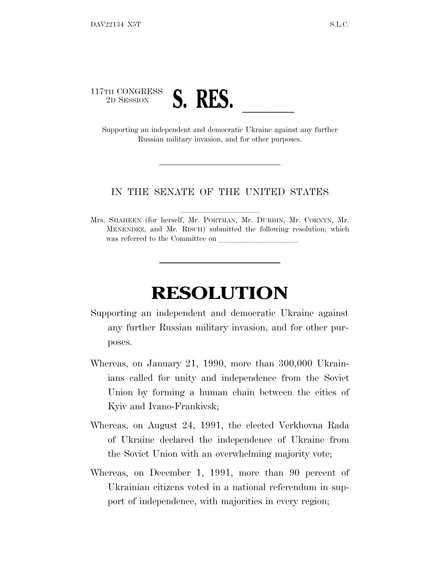

Russian military invasion, and for other purposes.

## IN THE SENATE OF THE UNITED STATES

Mrs. SHAHEEN (for herself, Mr. PORTMAN, Mr. DURBIN, Mr. CORNYN, Mr. MENENDEZ, and Mr. RISCH) submitted the following resolution; which was referred to the Committee on

## **RESOLUTION**

- Supporting an independent and democratic Ukraine against any further Russian military invasion, and for other purposes.
- Whereas, on January 21, 1990, more than 300,000 Ukrainians called for unity and independence from the Soviet Union by forming a human chain between the cities of Kyiv and Ivano-Frankivsk;
- Whereas, on August 24, 1991, the elected Verkhovna Rada of Ukraine declared the independence of Ukraine from the Soviet Union with an overwhelming majority vote;
- Whereas, on December 1, 1991, more than 90 percent of Ukrainian citizens voted in a national referendum in support of independence, with majorities in every region;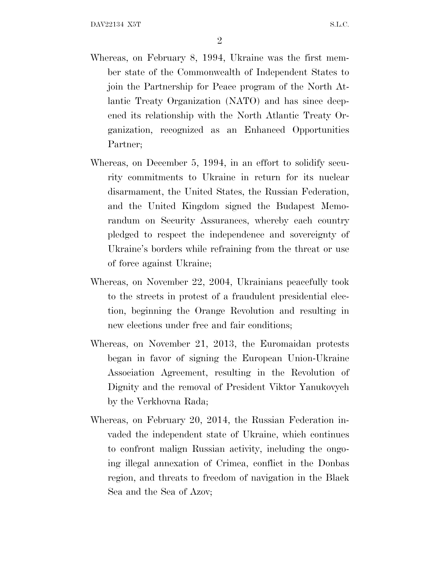- Whereas, on February 8, 1994, Ukraine was the first member state of the Commonwealth of Independent States to join the Partnership for Peace program of the North Atlantic Treaty Organization (NATO) and has since deepened its relationship with the North Atlantic Treaty Organization, recognized as an Enhanced Opportunities Partner;
- Whereas, on December 5, 1994, in an effort to solidify security commitments to Ukraine in return for its nuclear disarmament, the United States, the Russian Federation, and the United Kingdom signed the Budapest Memorandum on Security Assurances, whereby each country pledged to respect the independence and sovereignty of Ukraine's borders while refraining from the threat or use of force against Ukraine;
- Whereas, on November 22, 2004, Ukrainians peacefully took to the streets in protest of a fraudulent presidential election, beginning the Orange Revolution and resulting in new elections under free and fair conditions;
- Whereas, on November 21, 2013, the Euromaidan protests began in favor of signing the European Union-Ukraine Association Agreement, resulting in the Revolution of Dignity and the removal of President Viktor Yanukovych by the Verkhovna Rada;
- Whereas, on February 20, 2014, the Russian Federation invaded the independent state of Ukraine, which continues to confront malign Russian activity, including the ongoing illegal annexation of Crimea, conflict in the Donbas region, and threats to freedom of navigation in the Black Sea and the Sea of Azov;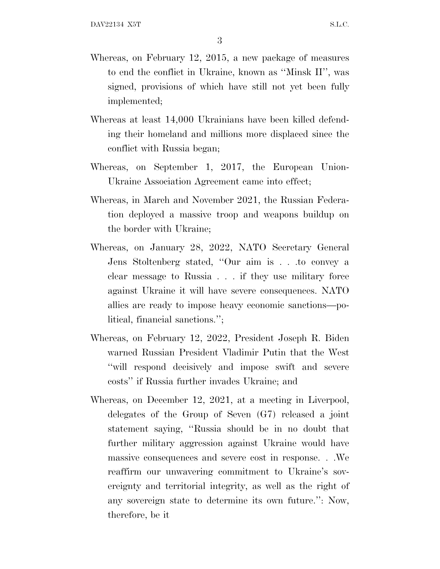- Whereas, on February 12, 2015, a new package of measures to end the conflict in Ukraine, known as ''Minsk II'', was signed, provisions of which have still not yet been fully implemented;
- Whereas at least 14,000 Ukrainians have been killed defending their homeland and millions more displaced since the conflict with Russia began;
- Whereas, on September 1, 2017, the European Union-Ukraine Association Agreement came into effect;
- Whereas, in March and November 2021, the Russian Federation deployed a massive troop and weapons buildup on the border with Ukraine;
- Whereas, on January 28, 2022, NATO Secretary General Jens Stoltenberg stated, ''Our aim is . . .to convey a clear message to Russia . . . if they use military force against Ukraine it will have severe consequences. NATO allies are ready to impose heavy economic sanctions—political, financial sanctions.'';
- Whereas, on February 12, 2022, President Joseph R. Biden warned Russian President Vladimir Putin that the West ''will respond decisively and impose swift and severe costs'' if Russia further invades Ukraine; and
- Whereas, on December 12, 2021, at a meeting in Liverpool, delegates of the Group of Seven (G7) released a joint statement saying, ''Russia should be in no doubt that further military aggression against Ukraine would have massive consequences and severe cost in response. . .We reaffirm our unwavering commitment to Ukraine's sovereignty and territorial integrity, as well as the right of any sovereign state to determine its own future.'': Now, therefore, be it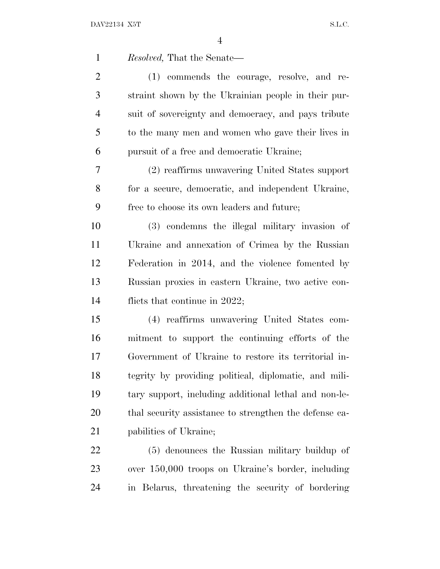| $\mathbf{1}$   | <i>Resolved</i> , That the Senate—                     |
|----------------|--------------------------------------------------------|
| $\overline{2}$ | (1) commends the courage, resolve, and re-             |
| 3              | straint shown by the Ukrainian people in their pur-    |
| $\overline{4}$ | suit of sovereignty and democracy, and pays tribute    |
| 5              | to the many men and women who gave their lives in      |
| 6              | pursuit of a free and democratic Ukraine;              |
| 7              | (2) reaffirms unwavering United States support         |
| 8              | for a secure, democratic, and independent Ukraine,     |
| 9              | free to choose its own leaders and future;             |
| 10             | (3) condemns the illegal military invasion of          |
| 11             | Ukraine and annexation of Crimea by the Russian        |
| 12             | Federation in 2014, and the violence fomented by       |
| 13             | Russian proxies in eastern Ukraine, two active con-    |
| 14             | flicts that continue in $2022$ ;                       |
| 15             | (4) reaffirms unwavering United States com-            |
| 16             | mitment to support the continuing efforts of the       |
| 17             | Government of Ukraine to restore its territorial in-   |
| 18             | tegrity by providing political, diplomatic, and mili-  |
| 19             | tary support, including additional lethal and non-le-  |
| 20             | thal security assistance to strengthen the defense ca- |
| 21             | pabilities of Ukraine;                                 |
| 22             | (5) denounces the Russian military buildup of          |
| 23             | over 150,000 troops on Ukraine's border, including     |
| 24             | in Belarus, threatening the security of bordering      |
|                |                                                        |